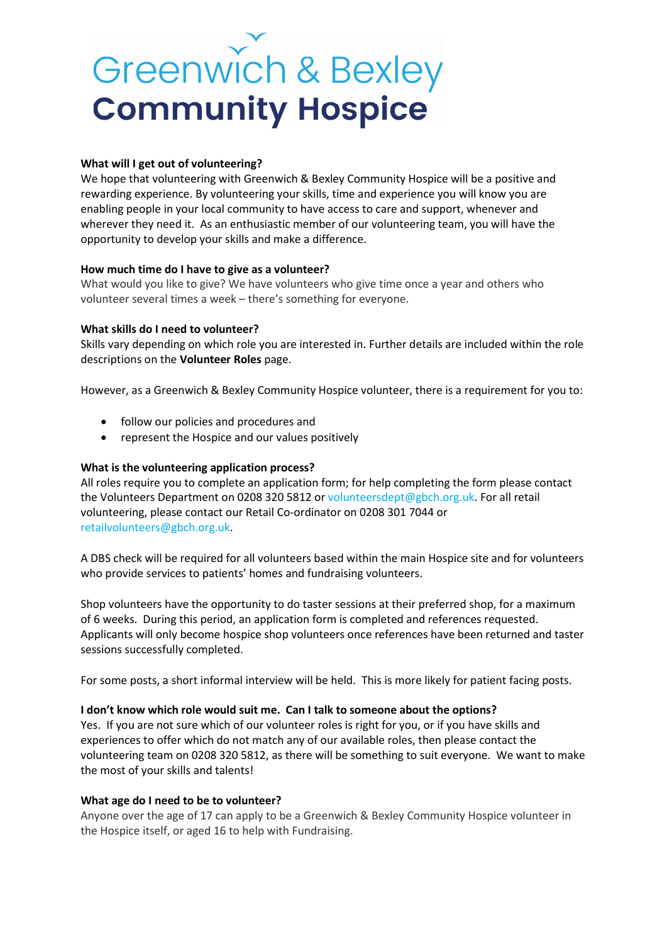# Greenwich & Bexley **Community Hospice**

## What will I get out of volunteering?

We hope that volunteering with Greenwich & Bexley Community Hospice will be a positive and rewarding experience. By volunteering your skills, time and experience you will know you are enabling people in your local community to have access to care and support, whenever and wherever they need it. As an enthusiastic member of our volunteering team, you will have the opportunity to develop your skills and make a difference.

### How much time do I have to give as a volunteer?

What would you like to give? We have volunteers who give time once a year and others who volunteer several times a week – there's something for everyone.

## What skills do I need to volunteer?

Skills vary depending on which role you are interested in. Further details are included within the role descriptions on the Volunteer Roles page.

However, as a Greenwich & Bexley Community Hospice volunteer, there is a requirement for you to:

- follow our policies and procedures and
- represent the Hospice and our values positively

## What is the volunteering application process?

All roles require you to complete an application form; for help completing the form please contact the Volunteers Department on 0208 320 5812 or volunteersdept@gbch.org.uk. For all retail volunteering, please contact our Retail Co-ordinator on 0208 301 7044 or retailvolunteers@gbch.org.uk.

A DBS check will be required for all volunteers based within the main Hospice site and for volunteers who provide services to patients' homes and fundraising volunteers.

Shop volunteers have the opportunity to do taster sessions at their preferred shop, for a maximum of 6 weeks. During this period, an application form is completed and references requested. Applicants will only become hospice shop volunteers once references have been returned and taster sessions successfully completed.

For some posts, a short informal interview will be held. This is more likely for patient facing posts.

### I don't know which role would suit me. Can I talk to someone about the options?

Yes. If you are not sure which of our volunteer roles is right for you, or if you have skills and experiences to offer which do not match any of our available roles, then please contact the volunteering team on 0208 320 5812, as there will be something to suit everyone. We want to make the most of your skills and talents!

### What age do I need to be to volunteer?

Anyone over the age of 17 can apply to be a Greenwich & Bexley Community Hospice volunteer in the Hospice itself, or aged 16 to help with Fundraising.